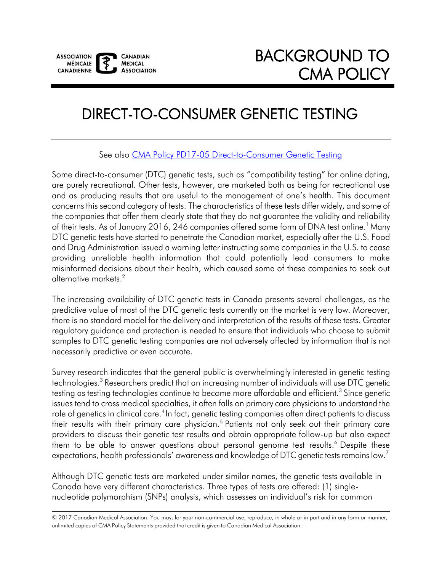# DIRECT-TO-CONSUMER GENETIC TESTING

See also [CMA Policy PD17-05 Direct-to-Consumer Genetic Testing](https://policybase.cma.ca/en/permalink/policy13696) 

 are purely recreational. Other tests, however, are marketed both as being for recreational use and as producing results that are useful to the management of one's health. This document providing unreliable health information that could potentially lead consumers to make misinformed decisions about their health, which caused some of these companies to seek out Some direct-to-consumer (DTC) genetic tests, such as "compatibility testing" for online dating, concerns this second category of tests. The characteristics of these tests differ widely, and some of the companies that offer them clearly state that they do not guarantee the validity and reliability of their tests. As of January 2016, 246 companies offered some form of DNA test online.<sup>1</sup> Many DTC genetic tests have started to penetrate the Canadian market, especially after the U.S. Food and Drug Administration issued a warning letter instructing some companies in the U.S. to cease alternative markets[.2](#page-6-2) 

 The increasing availability of DTC genetic tests in Canada presents several challenges, as the predictive value of most of the DTC genetic tests currently on the market is very low. Moreover, there is no standard model for the delivery and interpretation of the results of these tests. Greater regulatory guidance and protection is needed to ensure that individuals who choose to submit samples to DTC genetic testing companies are not adversely affected by information that is not necessarily predictive or even accurate.

their results with their primary care physician.<sup>5</sup> Patients not only seek out their primary care providers to discuss their genetic test results and obtain appropriate follow-up but also expect them to be able to answer questions about personal genome test results. $^6$  Despite these Survey research indicates that the general public is overwhelmingly interested in genetic testing technologies.<sup>3</sup> Researchers predict that an increasing number of individuals will use DTC genetic testing as testing technologies continue to become more affordable and efficient.<sup>3</sup> Since genetic issues tend to cross medical specialties, it often falls on primary care physicians to understand the role of genetics in clinical care.<sup>4</sup> In fact, genetic testing companies often direct patients to discuss expectations, health professionals' awareness and knowledge of DTC genetic tests remains low.'

Although DTC genetic tests are marketed under similar names, the genetic tests available in Canada have very different characteristics. Three types of tests are offered: (1) singlenucleotide polymorphism (SNPs) analysis, which assesses an individual's risk for common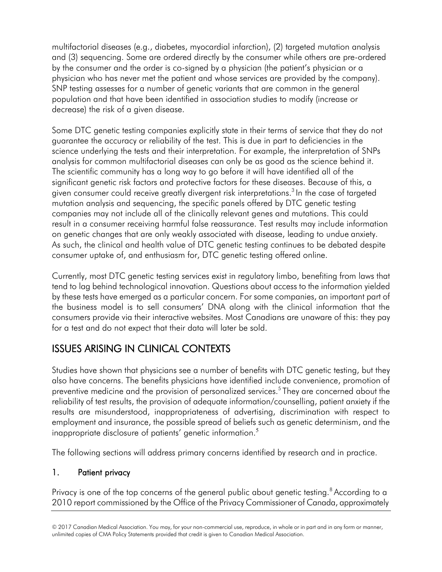multifactorial diseases (e.g., diabetes, myocardial infarction), (2) targeted mutation analysis and (3) sequencing. Some are ordered directly by the consumer while others are pre-ordered by the consumer and the order is co-signed by a physician (the patient's physician or a physician who has never met the patient and whose services are provided by the company). SNP testing assesses for a number of genetic variants that are common in the general population and that have been identified in association studies to modify (increase or decrease) the risk of a given disease.

Some DTC genetic testing companies explicitly state in their terms of service that they do not guarantee the accuracy or reliability of the test. This is due in part to deficiencies in the science underlying the tests and their interpretation. For example, the interpretation of SNPs analysis for common multifactorial diseases can only be as good as the science behind it. The scientific community has a long way to go before it will have identified all of the significant genetic risk factors and protective factors for these diseases. Because of this, a given consumer could receive greatly divergent risk interpretations.<sup>3</sup> In the case of targeted mutation analysis and sequencing, the specific panels offered by DTC genetic testing companies may not include all of the clinically relevant genes and mutations. This could result in a consumer receiving harmful false reassurance. Test results may include information on genetic changes that are only weakly associated with disease, leading to undue anxiety. As such, the clinical and health value of DTC genetic testing continues to be debated despite consumer uptake of, and enthusiasm for, DTC genetic testing offered online.

 the business model is to sell consumers' DNA along with the clinical information that the Currently, most DTC genetic testing services exist in regulatory limbo, benefiting from laws that tend to lag behind technological innovation. Questions about access to the information yielded by these tests have emerged as a particular concern. For some companies, an important part of consumers provide via their interactive websites. Most Canadians are unaware of this: they pay for a test and do not expect that their data will later be sold.

## ISSUES ARISING IN CLINICAL CONTEXTS

 results are misunderstood, inappropriateness of advertising, discrimination with respect to Studies have shown that physicians see a number of benefits with DTC genetic testing, but they also have concerns. The benefits physicians have identified include convenience, promotion of preventive medicine and the provision of personalized services.<sup>5</sup> They are concerned about the reliability of test results, the provision of adequate information/counselling, patient anxiety if the employment and insurance, the possible spread of beliefs such as genetic determinism, and the inappropriate disclosure of patients' genetic information.<sup>5</sup>

The following sections will address primary concerns identified by research and in practice.

#### 1. Patient privacy

Privacy is one of the top concerns of the general public about genetic testing.<sup>8</sup> According to a 2010 report commissioned by the Office of the Privacy Commissioner of Canada, approximately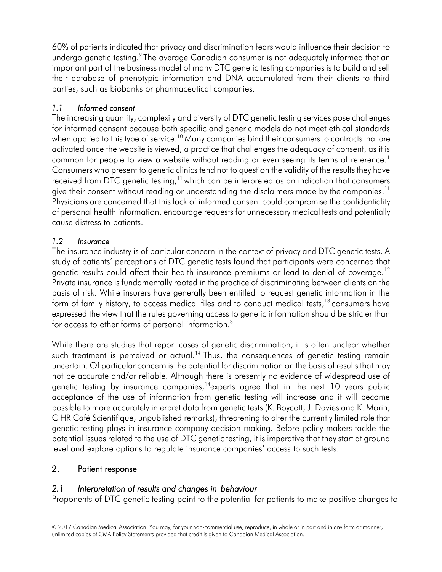undergo genetic testing. $9$  The average Canadian consumer is not adequately informed that an their database of phenotypic information and DNA accumulated from their clients to third 60% of patients indicated that privacy and discrimination fears would influence their decision to important part of the business model of many DTC genetic testing companies is to build and sell parties, such as biobanks or pharmaceutical companies.

#### *1.1 Informed consent*

received from DTC genetic testing, $11$  which can be interpreted as an indication that consumers give their consent without reading or understanding the disclaimers made by the companies. $^{\rm 11}$ The increasing quantity, complexity and diversity of DTC genetic testing services pose challenges for informed consent because both specific and generic models do not meet ethical standards when applied to this type of service.<sup>10</sup> Many companies bind their consumers to contracts that are activated once the website is viewed, a practice that challenges the adequacy of consent, as it is common for people to view a website without reading or even seeing its terms of reference.<sup>1</sup> Consumers who present to genetic clinics tend not to question the validity of the results they have Physicians are concerned that this lack of informed consent could compromise the confidentiality of personal health information, encourage requests for unnecessary medical tests and potentially cause distress to patients.

#### *1.2 Insurance*

genetic results could affect their health insurance premiums or lead to denial of coverage.  $^{\text{12}}$  basis of risk. While insurers have generally been entitled to request genetic information in the form of family history, to access medical files and to conduct medical tests, $^{13}$  consumers have The insurance industry is of particular concern in the context of privacy and DTC genetic tests. A study of patients' perceptions of DTC genetic tests found that participants were concerned that Private insurance is fundamentally rooted in the practice of discriminating between clients on the expressed the view that the rules governing access to genetic information should be stricter than for access to other forms of personal information.<sup>3</sup>

 While there are studies that report cases of genetic discrimination, it is often unclear whether such treatment is perceived or actual.<sup>14</sup> Thus, the consequences of genetic testing remain not be accurate and/or reliable. Although there is presently no evidence of widespread use of genetic testing by insurance companies, $14}$ experts agree that in the next 10 years public acceptance of the use of information from genetic testing will increase and it will become genetic testing plays in insurance company decision-making. Before policy-makers tackle the uncertain. Of particular concern is the potential for discrimination on the basis of results that may possible to more accurately interpret data from genetic tests (K. Boycott, J. Davies and K. Morin, CIHR Café Scientifique, unpublished remarks), threatening to alter the currently limited role that potential issues related to the use of DTC genetic testing, it is imperative that they start at ground level and explore options to regulate insurance companies' access to such tests.

#### 2. Patient response

#### *2.1 Interpretation of results and changes in behaviour*

Proponents of DTC genetic testing point to the potential for patients to make positive changes to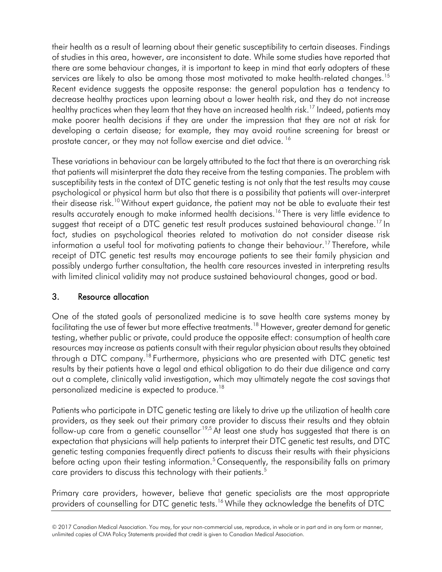services are likely to also be among those most motivated to make health-related changes.<sup>15</sup> Recent evidence suggests the opposite response: the general population has a tendency to decrease healthy practices upon learning about a lower health risk, and they do not increase make poorer health decisions if they are under the impression that they are not at risk for developing a certain disease; for example, they may avoid routine screening for breast or their health as a result of learning about their genetic susceptibility to certain diseases. Findings of studies in this area, however, are inconsistent to date. While some studies have reported that there are some behaviour changes, it is important to keep in mind that early adopters of these healthy practices when they learn that they have an increased health risk.<sup>17</sup> Indeed, patients may prostate cancer, or they may not follow exercise and diet advice.<sup>16</sup>

their disease risk. $^{10}$  Without expert guidance, the patient may not be able to evaluate their test results accurately enough to make informed health decisions.<sup>16</sup> There is very little evidence to suggest that receipt of a DTC genetic test result produces sustained behavioural change. $^{17}$  In fact, studies on psychological theories related to motivation do not consider disease risk information a useful tool for motivating patients to change their behaviour.<sup>17</sup> Therefore, while receipt of DTC genetic test results may encourage patients to see their family physician and possibly undergo further consultation, the health care resources invested in interpreting results These variations in behaviour can be largely attributed to the fact that there is an overarching risk that patients will misinterpret the data they receive from the testing companies. The problem with susceptibility tests in the context of DTC genetic testing is not only that the test results may cause psychological or physical harm but also that there is a possibility that patients will over-interpret with limited clinical validity may not produce sustained behavioural changes, good or bad.

#### 3. Resource allocation

 One of the stated goals of personalized medicine is to save health care systems money by through a DTC company.<sup>18</sup> Furthermore, physicians who are presented with DTC genetic test results by their patients have a legal and ethical obligation to do their due diligence and carry facilitating the use of fewer but more effective treatments.<sup>18</sup> However, greater demand for genetic testing, whether public or private, could produce the opposite effect: consumption of health care resources may increase as patients consult with their regular physician about results they obtained out a complete, clinically valid investigation, which may ultimately negate the cost savings that personalized medicine is expected to produce.<sup>18</sup>

 providers, as they seek out their primary care provider to discuss their results and they obtain follow-up care from a genetic counsellor<sup>[.19,](#page-6-17)5</sup> At least one study has suggested that there is an genetic testing companies frequently direct patients to discuss their results with their physicians Patients who participate in DTC genetic testing are likely to drive up the utilization of health care expectation that physicians will help patients to interpret their DTC genetic test results, and DTC before acting upon their testing information.<sup>5</sup> Consequently, the responsibility falls on primary care providers to discuss this technology with their patients.<sup>5</sup>

Primary care providers, however, believe that genetic specialists are the most appropriate providers of counselling for DTC genetic tests.<sup>16</sup> While they acknowledge the benefits of DTC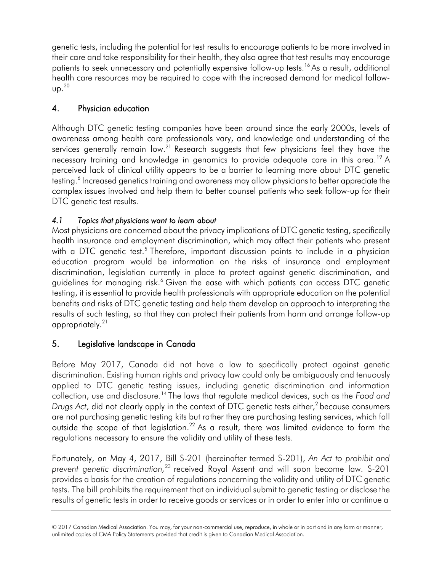patients to seek unnecessary and potentially expensive follow-up tests.<sup>16</sup> As a result, additional genetic tests, including the potential for test results to encourage patients to be more involved in their care and take responsibility for their health, they also agree that test results may encourage health care resources may be required to cope with the increased demand for medical follow-  $UD.<sup>20</sup>$ 

#### 4. Physician education

 Although DTC genetic testing companies have been around since the early 2000s, levels of services generally remain low. $^{21}$  Research suggests that few physicians feel they have the necessary training and knowledge in genomics to provide adequate care in this area.<sup>19</sup> A perceived lack of clinical utility appears to be a barrier to learning more about DTC genetic complex issues involved and help them to better counsel patients who seek follow-up for their awareness among health care professionals vary, and knowledge and understanding of the testing.<sup>6</sup> Increased genetics training and awareness may allow physicians to better appreciate the DTC genetic test results.

#### *4.1 Topics that physicians want to learn about*

 health insurance and employment discrimination, which may affect their patients who present with a DTC genetic test.<sup>5</sup> Therefore, important discussion points to include in a physician discrimination, legislation currently in place to protect against genetic discrimination, and guidelines for managing risk. $^6$  Given the ease with which patients can access DTC genetic Most physicians are concerned about the privacy implications of DTC genetic testing, specifically education program would be information on the risks of insurance and employment testing, it is essential to provide health professionals with appropriate education on the potential benefits and risks of DTC genetic testing and help them develop an approach to interpreting the results of such testing, so that they can protect their patients from harm and arrange follow-up appropriately[.21](#page-6-19) 

### 5. Legislative landscape in Canada

 Before May 2017, Canada did not have a law to specifically protect against genetic applied to DTC genetic testing issues, including genetic discrimination and information collection, use and disclosure[.14](#page-6-9) The laws that regulate medical devices, such as the *Food and Drugs Act,* did not clearly apply in the context of DTC genetic tests either,<sup>2</sup> because consumers outside the scope of that legislation.<sup>22</sup> As a result, there was limited evidence to form the discrimination. Existing human rights and privacy law could only be ambiguously and tenuously are not purchasing genetic testing kits but rather they are purchasing testing services, which fall regulations necessary to ensure the validity and utility of these tests.

 Fortunately, on May 4, 2017, Bill S-201 (hereinafter termed S-201), *An Act to prohibit and prevent genetic discrimination,*[23](#page-7-1) received Royal Assent and will soon become law. S-201 provides a basis for the creation of regulations concerning the validity and utility of DTC genetic tests. The bill prohibits the requirement that an individual submit to genetic testing or disclose the results of genetic tests in order to receive goods or services or in order to enter into or continue a

<sup>© 2017</sup> Canadian Medical Association. You may, for your non-commercial use, reproduce, in whole or in part and in any form or manner, unlimited copies of CMA Policy Statements provided that credit is given to Canadian Medical Association.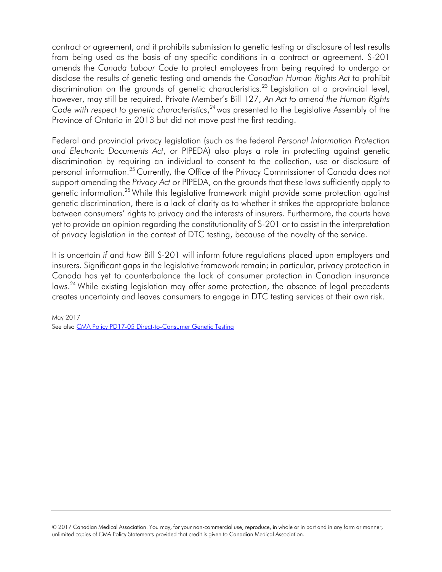from being used as the basis of any specific conditions in a contract or agreement. S-201 amends the *Canada Labour Code* to protect employees from being required to undergo or disclose the results of genetic testing and amends the *Canadian Human Rights Act* to prohibit discrimination on the grounds of genetic characteristics.<sup>23</sup> Legislation at a provincial level,  however, may still be required. Private Member's Bill 127, *An Act to amend the Human Rights Code with respect to genetic characteristics*, *[24](#page-7-3)* was presented to the Legislative Assembly of the contract or agreement, and it prohibits submission to genetic testing or disclosure of test results Province of Ontario in 2013 but did not move past the first reading.

 Federal and provincial privacy legislation (such as the federal *Personal Information Protection and Electronic Documents Act*, or PIPEDA) also plays a role in protecting against genetic discrimination by requiring an individual to consent to the collection, use or disclosure of personal information.<sup>25</sup> Currently, the Office of the Privacy Commissioner of Canada does not support amending the *Privacy Act* or PIPEDA, on the grounds that these laws sufficiently apply to genetic information[.25 W](#page-7-2)hile this legislative framework might provide some protection against genetic discrimination, there is a lack of clarity as to whether it strikes the appropriate balance between consumers' rights to privacy and the interests of insurers. Furthermore, the courts have yet to provide an opinion regarding the constitutionality of S-201 or to assist in the interpretation of privacy legislation in the context of DTC testing, because of the novelty of the service.

 Canada has yet to counterbalance the lack of consumer protection in Canadian insurance laws.<sup>24</sup> While existing legislation may offer some protection, the absence of legal precedents It is uncertain *if* and *how* Bill S-201 will inform future regulations placed upon employers and insurers. Significant gaps in the legislative framework remain; in particular, privacy protection in creates uncertainty and leaves consumers to engage in DTC testing services at their own risk.

See also CMA Policy PD17-05 Direct-to-Consumer Genetic Testing May 2017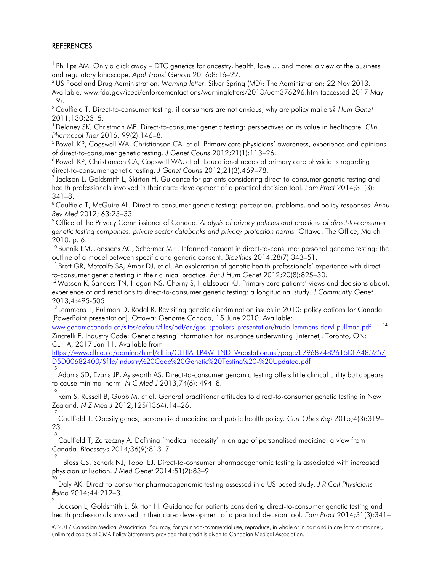#### **REFERENCES**

16

<span id="page-6-16"></span>18

<span id="page-6-1"></span><sup>1</sup> Phillips AM. Only a click away – DTC genetics for ancestry, health, love ... and more: a view of the business and regulatory landscape. *Appl Transl Genom* 2016;8:16–22.<br><sup>2</sup> US Food and Drug Administration. Warning letter. Silver Spring (MD): The Administration; 22 Nov 2013.

<span id="page-6-2"></span>Available: [www.fda.gov/iceci/enforcementactions/warningletters/2013/ucm376296.htm \(](http://www.fda.gov/iceci/enforcementactions/warningletters/2013/ucm376296.htm)accessed 2017 May 19).

<span id="page-6-0"></span> 3 Caulfield T. Direct-to-consumer testing: if consumers are not anxious, why are policy makers? *Hum Genet*  2011;130:23–5. 4 Delaney SK, Christman MF. Direct-to-consumer genetic testing: perspectives on its value in healthcare. *Clin* 

<span id="page-6-3"></span>*Pharmacol Ther 2016; 99(2)*:146–8.<br><sup>5</sup> Powell KP, Cogswell WA, Christianson CA, et al. Primary care physicians' awareness, experience and opinions

<span id="page-6-4"></span>of direct-to-consumer genetic testing. *J Genet Couns* 2012;21(1):113–26.

<span id="page-6-5"></span>6 Powell KP, Christianson CA, Cogswell WA, et al. Educational needs of primary care physicians regarding direct-to-consumer genetic testing. *J Genet Couns* 2012;21(3):469–78.<br><sup>7</sup> Jackson L, Goldsmith L, Skirton H. Guidance for patients considering direct-to-consumer genetic testing and

<span id="page-6-6"></span>health professionals involved in their care: development of a practical decision tool. *Fam Pract* 2014;31(3): <sup>341</sup>–8. 8 Caulfield T, McGuire AL. Direct-to-consumer genetic testing: perception, problems, and policy responses. *Annu* 

<span id="page-6-7"></span> *Rev Med* 2012; 63:23–33.

<span id="page-6-11"></span>9 Office of the Privacy Commissioner of Canada. *Analysis of privacy policies and practices of direct-to-consumer genetic testing companies: private sector databanks and privacy protection norms.* Ottawa: The Office; March 2010. p. 6.

<span id="page-6-10"></span><sup>10</sup> Bunnik EM, Janssens AC, Schermer MH. Informed consent in direct-to-consumer personal genome testing: the outline of a model between specific and generic consent. *Bioethics* 2014;28(7):343–51.<br><sup>11</sup> Brett GR, Metcalfe SA, Amor DJ, et al. An exploration of genetic health professionals' experience with direct-

<span id="page-6-8"></span>to-consumer genetic testing in their clinical practice. *Eur J Hum Genet* 2012;20(8):825–30.

<span id="page-6-12"></span> $12$  Wasson K, Sanders TN, Hogan NS, Cherny S, Helzlsouer KJ. Primary care patients' views and decisions about, experience of and reactions to direct-to-consumer genetic testing: a longitudinal study. *J Community Genet*. 2013;4:495-505<br><sup>13</sup> Lemmens T, Pullman D, Rodal R. Revisiting genetic discrimination issues in 2010: policy options for Canada

<span id="page-6-13"></span>[PowerPoint presentation]. Ottawa: Genome Canada; 15 June 2010. Available:

<span id="page-6-9"></span> [www.genomecanada.ca/sites/default/files/pdf/en/gps\\_speakers\\_presentation/trudo-lemmens-daryl-pullman.pdf](http://www.genomecanada.ca/sites/default/files/pdf/en/gps_speakers_presentation/trudo-lemmens-daryl-pullman.pdf) <sup>14</sup> Zinatelli F. Industry Code: Genetic testing information for insurance underwriting [Internet]. Toronto, ON: CLHIA; 2017 Jan 11. Available from

[https://www.clhia.ca/domino/html/clhia/CLHIA\\_LP4W\\_LND\\_Webstation.nsf/page/E79687482615DFA485257](https://www.clhia.ca/domino/html/clhia/CLHIA_LP4W_LND_Webstation.nsf/page/E79687482615DFA485257D5D00682400/%24file/Industry%20Code%20Genetic%20Testing%20-%20Updated.pdf)  [D5D00682400/\\$file/Industry%20Code%20Genetic%20Testing%20-%20Updated.pdf](https://www.clhia.ca/domino/html/clhia/CLHIA_LP4W_LND_Webstation.nsf/page/E79687482615DFA485257D5D00682400/%24file/Industry%20Code%20Genetic%20Testing%20-%20Updated.pdf) 15

<span id="page-6-18"></span>Adams SD, Evans JP, Aylsworth AS. Direct-to-consumer genomic testing offers little clinical utility but appears to cause minimal harm. *N C Med J* 2013;74(6): 494–8.

<span id="page-6-15"></span>Ram S, Russell B, Gubb M, et al. General practitioner attitudes to direct-to-consumer genetic testing in New Zealand. *N Z Med J* 2012;125(1364):14-26.

<span id="page-6-14"></span>Caulfield T. Obesity genes, personalized medicine and public health policy. *Curr Obes Rep* 2015;4(3):319– 23.

Caulfield T, Zarzeczny A. Defining 'medical necessity' in an age of personalised medicine: a view from Canada. *Bioessays* 2014;36(9):813–7.

<span id="page-6-20"></span><span id="page-6-19"></span><span id="page-6-17"></span>19 Bloss CS, Schork NJ, Topol EJ. Direct-to-consumer pharmacogenomic testing is associated with increased physician utilisation. *J Med Genet* 2014;51(2):83-9.

Daly AK. Direct-to-consumer pharmacogenomic testing assessed in a US-based study. *J R Coll Physicians*  8. *Edinb* 2014;44:212–3. 21

Jackson L, Goldsmith L, Skirton H. Guidance for patients considering direct-to-consumer genetic testing and health professionals involved in their care: development of a practical decision tool. *Fam Pract* 2014;31(3):341–